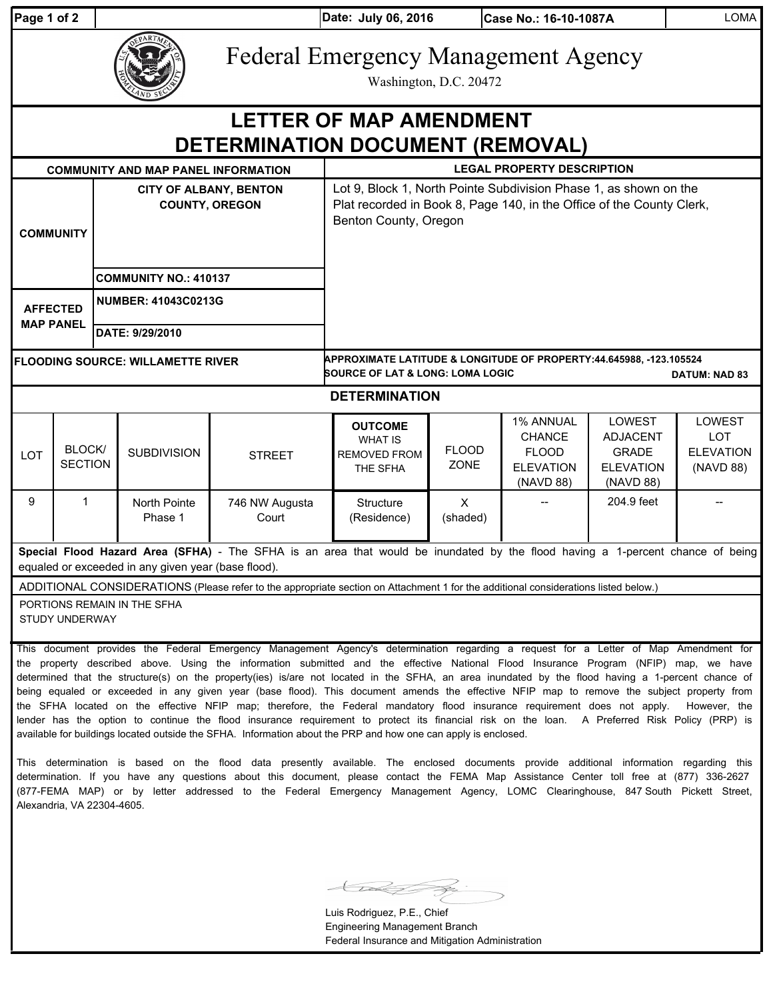|  | aqe 1 of |  |  |  |  |
|--|----------|--|--|--|--|
|--|----------|--|--|--|--|

**Case No.: 16-10-1087A** LOMA

| age 1 of 2                                                                |                                                        | Date: July 06, 2016                                                  | Case No.: 16-10-1087A                                                                                                                      |  |  |  |
|---------------------------------------------------------------------------|--------------------------------------------------------|----------------------------------------------------------------------|--------------------------------------------------------------------------------------------------------------------------------------------|--|--|--|
|                                                                           |                                                        | <b>Federal Emergency Management Agency</b><br>Washington, D.C. 20472 |                                                                                                                                            |  |  |  |
| <b>LETTER OF MAP AMENDMENT</b><br><b>DETERMINATION DOCUMENT (REMOVAL)</b> |                                                        |                                                                      |                                                                                                                                            |  |  |  |
| <b>COMMUNITY AND MAP PANEL INFORMATION</b>                                |                                                        | <b>LEGAL PROPERTY DESCRIPTION</b>                                    |                                                                                                                                            |  |  |  |
| <b>COMMUNITY</b>                                                          | <b>CITY OF ALBANY, BENTON</b><br><b>COUNTY, OREGON</b> | Benton County, Oregon                                                | Lot 9, Block 1, North Pointe Subdivision Phase 1, as shown on the<br>Plat recorded in Book 8, Page 140, in the Office of the County Clerk, |  |  |  |
|                                                                           | <b>COMMUNITY NO.: 410137</b>                           |                                                                      |                                                                                                                                            |  |  |  |
| <b>AFFECTED</b><br><b>MAP PANEL</b>                                       | NUMBER: 41043C0213G                                    |                                                                      |                                                                                                                                            |  |  |  |
|                                                                           | DATE: 9/29/2010                                        |                                                                      |                                                                                                                                            |  |  |  |

**FLOODING SOURCE: WILLAMETTE RIVER**

**DATUM: NAD 83 APPROXIMATE LATITUDE & LONGITUDE OF PROPERTY:44.645988, -123.105524 SOURCE OF LAT & LONG: LOMA LOGIC** 

## **DETERMINATION**

| <b>LOT</b> | BLOCK/<br><b>SECTION</b> | <b>SUBDIVISION</b>      | <b>STREET</b>           | <b>OUTCOME</b><br><b>WHAT IS</b><br><b>REMOVED FROM</b><br>THE SFHA | <b>FLOOD</b><br><b>ZONE</b> | 1% ANNUAL<br><b>CHANCE</b><br><b>FLOOD</b><br><b>ELEVATION</b><br>(NAVD 88) | <b>LOWEST</b><br><b>ADJACENT</b><br><b>GRADE</b><br><b>ELEVATION</b><br>(NAVD 88) | LOWEST<br>LOT<br><b>ELEVATION</b><br>(NAVD 88) |
|------------|--------------------------|-------------------------|-------------------------|---------------------------------------------------------------------|-----------------------------|-----------------------------------------------------------------------------|-----------------------------------------------------------------------------------|------------------------------------------------|
| 9          |                          | North Pointe<br>Phase 1 | 746 NW Augusta<br>Court | Structure<br>(Residence)                                            | х<br>(shaded)               | $- -$                                                                       | 204.9 feet                                                                        | $- -$                                          |

**Special Flood Hazard Area (SFHA)** - The SFHA is an area that would be inundated by the flood having a 1-percent chance of being equaled or exceeded in any given year (base flood).

ADDITIONAL CONSIDERATIONS (Please refer to the appropriate section on Attachment 1 for the additional considerations listed below.)

PORTIONS REMAIN IN THE SFHA STUDY UNDERWAY

This document provides the Federal Emergency Management Agency's determination regarding a request for a Letter of Map Amendment for the property described above. Using the information submitted and the effective National Flood Insurance Program (NFIP) map, we have determined that the structure(s) on the property(ies) is/are not located in the SFHA, an area inundated by the flood having a 1-percent chance of being equaled or exceeded in any given year (base flood). This document amends the effective NFIP map to remove the subject property from the SFHA located on the effective NFIP map; therefore, the Federal mandatory flood insurance requirement does not apply. However, the lender has the option to continue the flood insurance requirement to protect its financial risk on the loan. A Preferred Risk Policy (PRP) is available for buildings located outside the SFHA. Information about the PRP and how one can apply is enclosed.

This determination is based on the flood data presently available. The enclosed documents provide additional information regarding this determination. If you have any questions about this document, please contact the FEMA Map Assistance Center toll free at (877) 336-2627 (877-FEMA MAP) or by letter addressed to the Federal Emergency Management Agency, LOMC Clearinghouse, 847 South Pickett Street, Alexandria, VA 22304-4605.

STRA P

Luis Rodriguez, P.E., Chief Engineering Management Branch Federal Insurance and Mitigation Administration